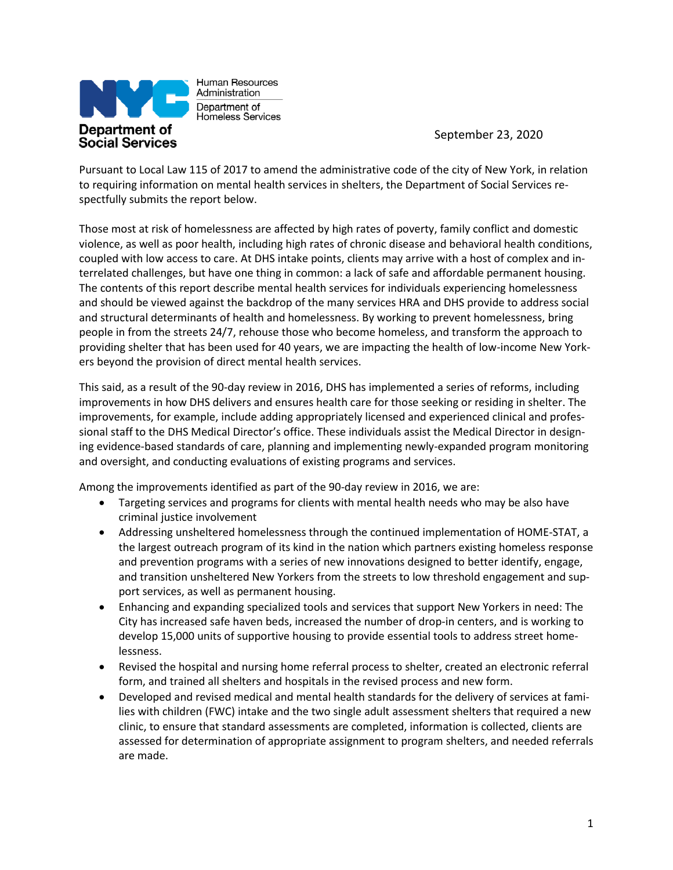

Human Resources Administration Department of Homeless Services

September 23, 2020

Pursuant to Local Law 115 of 2017 to amend the administrative code of the city of New York, in relation to requiring information on mental health services in shelters, the Department of Social Services respectfully submits the report below.

Those most at risk of homelessness are affected by high rates of poverty, family conflict and domestic violence, as well as poor health, including high rates of chronic disease and behavioral health conditions, coupled with low access to care. At DHS intake points, clients may arrive with a host of complex and interrelated challenges, but have one thing in common: a lack of safe and affordable permanent housing. The contents of this report describe mental health services for individuals experiencing homelessness and should be viewed against the backdrop of the many services HRA and DHS provide to address social and structural determinants of health and homelessness. By working to prevent homelessness, bring people in from the streets 24/7, rehouse those who become homeless, and transform the approach to providing shelter that has been used for 40 years, we are impacting the health of low-income New Yorkers beyond the provision of direct mental health services.

This said, as a result of the 90-day review in 2016, DHS has implemented a series of reforms, including improvements in how DHS delivers and ensures health care for those seeking or residing in shelter. The improvements, for example, include adding appropriately licensed and experienced clinical and professional staff to the DHS Medical Director's office. These individuals assist the Medical Director in designing evidence‐based standards of care, planning and implementing newly‐expanded program monitoring and oversight, and conducting evaluations of existing programs and services.

Among the improvements identified as part of the 90‐day review in 2016, we are:

- Targeting services and programs for clients with mental health needs who may be also have criminal justice involvement
- Addressing unsheltered homelessness through the continued implementation of HOME-STAT, a the largest outreach program of its kind in the nation which partners existing homeless response and prevention programs with a series of new innovations designed to better identify, engage, and transition unsheltered New Yorkers from the streets to low threshold engagement and support services, as well as permanent housing.
- Enhancing and expanding specialized tools and services that support New Yorkers in need: The City has increased safe haven beds, increased the number of drop-in centers, and is working to develop 15,000 units of supportive housing to provide essential tools to address street homelessness.
- Revised the hospital and nursing home referral process to shelter, created an electronic referral form, and trained all shelters and hospitals in the revised process and new form.
- Developed and revised medical and mental health standards for the delivery of services at families with children (FWC) intake and the two single adult assessment shelters that required a new clinic, to ensure that standard assessments are completed, information is collected, clients are assessed for determination of appropriate assignment to program shelters, and needed referrals are made.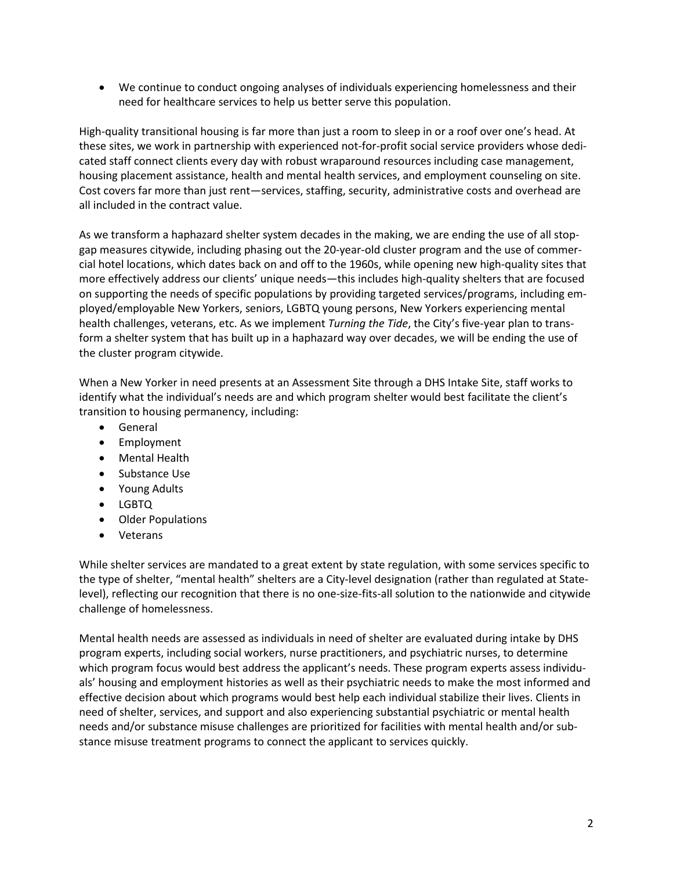• We continue to conduct ongoing analyses of individuals experiencing homelessness and their need for healthcare services to help us better serve this population.

High-quality transitional housing is far more than just a room to sleep in or a roof over one's head. At these sites, we work in partnership with experienced not-for-profit social service providers whose dedicated staff connect clients every day with robust wraparound resources including case management, housing placement assistance, health and mental health services, and employment counseling on site. Cost covers far more than just rent—services, staffing, security, administrative costs and overhead are all included in the contract value.

As we transform a haphazard shelter system decades in the making, we are ending the use of all stopgap measures citywide, including phasing out the 20-year-old cluster program and the use of commercial hotel locations, which dates back on and off to the 1960s, while opening new high-quality sites that more effectively address our clients' unique needs—this includes high-quality shelters that are focused on supporting the needs of specific populations by providing targeted services/programs, including employed/employable New Yorkers, seniors, LGBTQ young persons, New Yorkers experiencing mental health challenges, veterans, etc. As we implement *Turning the Tide*, the City's five-year plan to transform a shelter system that has built up in a haphazard way over decades, we will be ending the use of the cluster program citywide.

When a New Yorker in need presents at an Assessment Site through a DHS Intake Site, staff works to identify what the individual's needs are and which program shelter would best facilitate the client's transition to housing permanency, including:

- General
- Employment
- Mental Health
- Substance Use
- Young Adults
- LGBTQ
- Older Populations
- Veterans

While shelter services are mandated to a great extent by state regulation, with some services specific to the type of shelter, "mental health" shelters are a City-level designation (rather than regulated at Statelevel), reflecting our recognition that there is no one-size-fits-all solution to the nationwide and citywide challenge of homelessness.

Mental health needs are assessed as individuals in need of shelter are evaluated during intake by DHS program experts, including social workers, nurse practitioners, and psychiatric nurses, to determine which program focus would best address the applicant's needs. These program experts assess individuals' housing and employment histories as well as their psychiatric needs to make the most informed and effective decision about which programs would best help each individual stabilize their lives. Clients in need of shelter, services, and support and also experiencing substantial psychiatric or mental health needs and/or substance misuse challenges are prioritized for facilities with mental health and/or substance misuse treatment programs to connect the applicant to services quickly.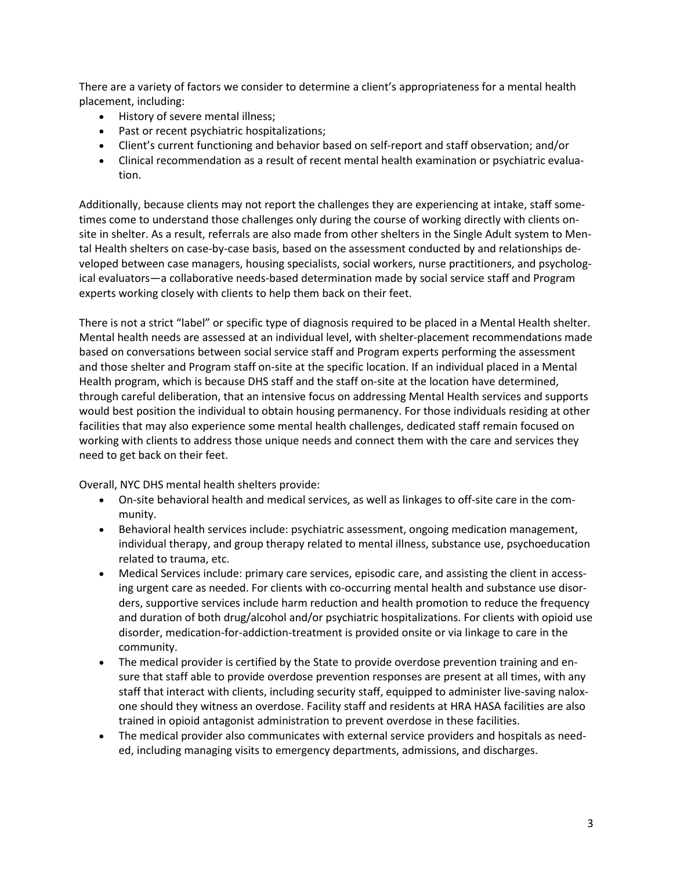There are a variety of factors we consider to determine a client's appropriateness for a mental health placement, including:

- History of severe mental illness;
- Past or recent psychiatric hospitalizations;
- Client's current functioning and behavior based on self-report and staff observation; and/or
- Clinical recommendation as a result of recent mental health examination or psychiatric evaluation.

Additionally, because clients may not report the challenges they are experiencing at intake, staff sometimes come to understand those challenges only during the course of working directly with clients onsite in shelter. As a result, referrals are also made from other shelters in the Single Adult system to Mental Health shelters on case-by-case basis, based on the assessment conducted by and relationships developed between case managers, housing specialists, social workers, nurse practitioners, and psychological evaluators—a collaborative needs-based determination made by social service staff and Program experts working closely with clients to help them back on their feet.

There is not a strict "label" or specific type of diagnosis required to be placed in a Mental Health shelter. Mental health needs are assessed at an individual level, with shelter-placement recommendations made based on conversations between social service staff and Program experts performing the assessment and those shelter and Program staff on-site at the specific location. If an individual placed in a Mental Health program, which is because DHS staff and the staff on-site at the location have determined, through careful deliberation, that an intensive focus on addressing Mental Health services and supports would best position the individual to obtain housing permanency. For those individuals residing at other facilities that may also experience some mental health challenges, dedicated staff remain focused on working with clients to address those unique needs and connect them with the care and services they need to get back on their feet.

Overall, NYC DHS mental health shelters provide:

- On-site behavioral health and medical services, as well as linkages to off-site care in the community.
- Behavioral health services include: psychiatric assessment, ongoing medication management, individual therapy, and group therapy related to mental illness, substance use, psychoeducation related to trauma, etc.
- Medical Services include: primary care services, episodic care, and assisting the client in accessing urgent care as needed. For clients with co-occurring mental health and substance use disorders, supportive services include harm reduction and health promotion to reduce the frequency and duration of both drug/alcohol and/or psychiatric hospitalizations. For clients with opioid use disorder, medication-for-addiction-treatment is provided onsite or via linkage to care in the community.
- The medical provider is certified by the State to provide overdose prevention training and ensure that staff able to provide overdose prevention responses are present at all times, with any staff that interact with clients, including security staff, equipped to administer live-saving naloxone should they witness an overdose. Facility staff and residents at HRA HASA facilities are also trained in opioid antagonist administration to prevent overdose in these facilities.
- The medical provider also communicates with external service providers and hospitals as needed, including managing visits to emergency departments, admissions, and discharges.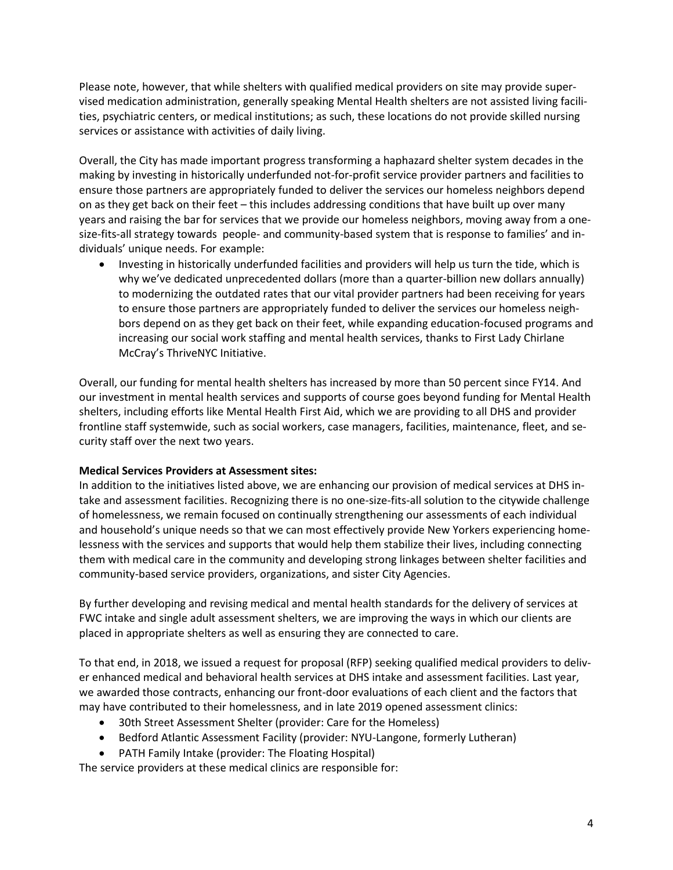Please note, however, that while shelters with qualified medical providers on site may provide supervised medication administration, generally speaking Mental Health shelters are not assisted living facilities, psychiatric centers, or medical institutions; as such, these locations do not provide skilled nursing services or assistance with activities of daily living.

Overall, the City has made important progress transforming a haphazard shelter system decades in the making by investing in historically underfunded not-for-profit service provider partners and facilities to ensure those partners are appropriately funded to deliver the services our homeless neighbors depend on as they get back on their feet – this includes addressing conditions that have built up over many years and raising the bar for services that we provide our homeless neighbors, moving away from a onesize-fits-all strategy towards people- and community-based system that is response to families' and individuals' unique needs. For example:

• Investing in historically underfunded facilities and providers will help us turn the tide, which is why we've dedicated unprecedented dollars (more than a quarter-billion new dollars annually) to modernizing the outdated rates that our vital provider partners had been receiving for years to ensure those partners are appropriately funded to deliver the services our homeless neighbors depend on as they get back on their feet, while expanding education-focused programs and increasing our social work staffing and mental health services, thanks to First Lady Chirlane McCray's ThriveNYC Initiative.

Overall, our funding for mental health shelters has increased by more than 50 percent since FY14. And our investment in mental health services and supports of course goes beyond funding for Mental Health shelters, including efforts like Mental Health First Aid, which we are providing to all DHS and provider frontline staff systemwide, such as social workers, case managers, facilities, maintenance, fleet, and security staff over the next two years.

#### **Medical Services Providers at Assessment sites:**

In addition to the initiatives listed above, we are enhancing our provision of medical services at DHS intake and assessment facilities. Recognizing there is no one-size-fits-all solution to the citywide challenge of homelessness, we remain focused on continually strengthening our assessments of each individual and household's unique needs so that we can most effectively provide New Yorkers experiencing homelessness with the services and supports that would help them stabilize their lives, including connecting them with medical care in the community and developing strong linkages between shelter facilities and community-based service providers, organizations, and sister City Agencies.

By further developing and revising medical and mental health standards for the delivery of services at FWC intake and single adult assessment shelters, we are improving the ways in which our clients are placed in appropriate shelters as well as ensuring they are connected to care.

To that end, in 2018, we issued a request for proposal (RFP) seeking qualified medical providers to deliver enhanced medical and behavioral health services at DHS intake and assessment facilities. Last year, we awarded those contracts, enhancing our front-door evaluations of each client and the factors that may have contributed to their homelessness, and in late 2019 opened assessment clinics:

- 30th Street Assessment Shelter (provider: Care for the Homeless)
- Bedford Atlantic Assessment Facility (provider: NYU-Langone, formerly Lutheran)
- PATH Family Intake (provider: The Floating Hospital)

The service providers at these medical clinics are responsible for: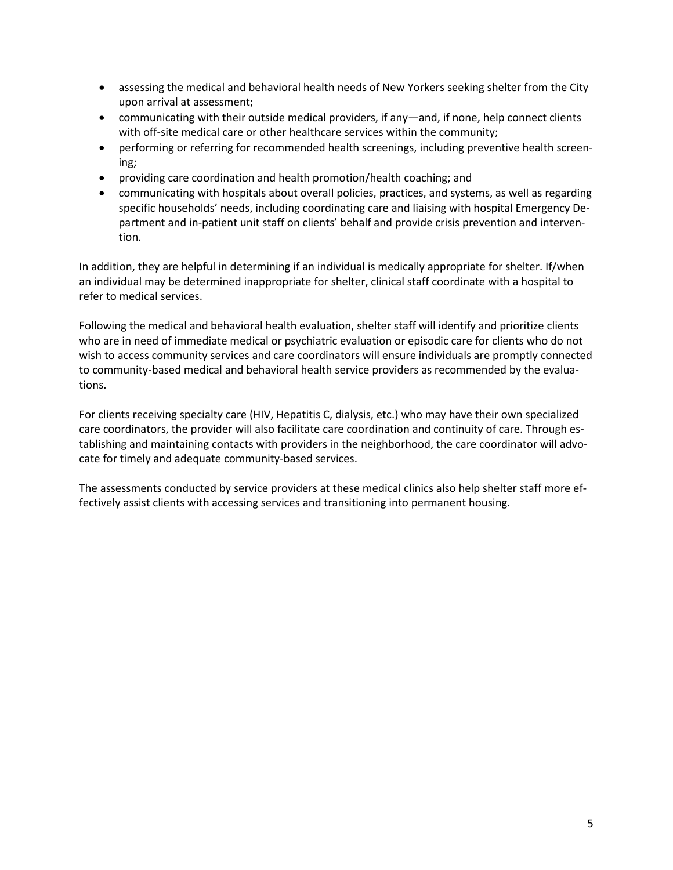- assessing the medical and behavioral health needs of New Yorkers seeking shelter from the City upon arrival at assessment;
- communicating with their outside medical providers, if any—and, if none, help connect clients with off-site medical care or other healthcare services within the community;
- performing or referring for recommended health screenings, including preventive health screening;
- providing care coordination and health promotion/health coaching; and
- communicating with hospitals about overall policies, practices, and systems, as well as regarding specific households' needs, including coordinating care and liaising with hospital Emergency Department and in-patient unit staff on clients' behalf and provide crisis prevention and intervention.

In addition, they are helpful in determining if an individual is medically appropriate for shelter. If/when an individual may be determined inappropriate for shelter, clinical staff coordinate with a hospital to refer to medical services.

Following the medical and behavioral health evaluation, shelter staff will identify and prioritize clients who are in need of immediate medical or psychiatric evaluation or episodic care for clients who do not wish to access community services and care coordinators will ensure individuals are promptly connected to community-based medical and behavioral health service providers as recommended by the evaluations.

For clients receiving specialty care (HIV, Hepatitis C, dialysis, etc.) who may have their own specialized care coordinators, the provider will also facilitate care coordination and continuity of care. Through establishing and maintaining contacts with providers in the neighborhood, the care coordinator will advocate for timely and adequate community-based services.

The assessments conducted by service providers at these medical clinics also help shelter staff more effectively assist clients with accessing services and transitioning into permanent housing.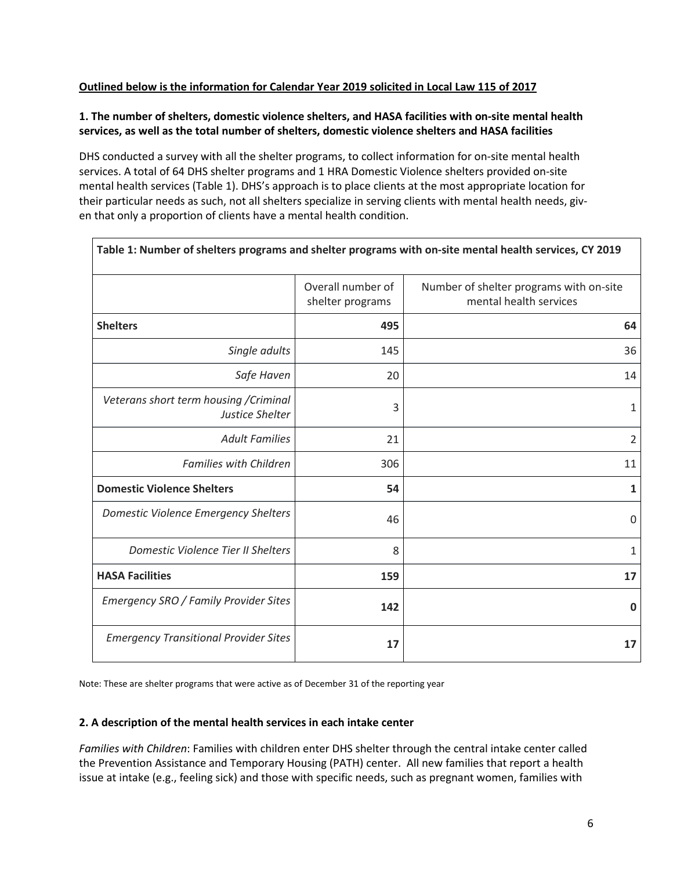### **Outlined below is the information for Calendar Year 2019 solicited in Local Law 115 of 2017**

 $\overline{\Gamma}$ 

### **1. The number of shelters, domestic violence shelters, and HASA facilities with on-site mental health services, as well as the total number of shelters, domestic violence shelters and HASA facilities**

DHS conducted a survey with all the shelter programs, to collect information for on-site mental health services. A total of 64 DHS shelter programs and 1 HRA Domestic Violence shelters provided on-site mental health services (Table 1). DHS's approach is to place clients at the most appropriate location for their particular needs as such, not all shelters specialize in serving clients with mental health needs, given that only a proportion of clients have a mental health condition.

|                                                           | Overall number of<br>shelter programs | Number of shelter programs with on-site<br>mental health services |
|-----------------------------------------------------------|---------------------------------------|-------------------------------------------------------------------|
| <b>Shelters</b>                                           | 495                                   | 64                                                                |
| Single adults                                             | 145                                   | 36                                                                |
| Safe Haven                                                | 20                                    | 14                                                                |
| Veterans short term housing / Criminal<br>Justice Shelter | 3                                     | 1                                                                 |
| <b>Adult Families</b>                                     | 21                                    | $\overline{2}$                                                    |
| <b>Families with Children</b>                             | 306                                   | 11                                                                |
| <b>Domestic Violence Shelters</b>                         | 54                                    | $\mathbf{1}$                                                      |
| Domestic Violence Emergency Shelters                      | 46                                    | $\mathbf 0$                                                       |
| Domestic Violence Tier II Shelters                        | 8                                     | $\mathbf{1}$                                                      |
| <b>HASA Facilities</b>                                    | 159                                   | 17                                                                |
| Emergency SRO / Family Provider Sites                     | 142                                   | $\mathbf 0$                                                       |
| <b>Emergency Transitional Provider Sites</b>              | 17                                    | 17                                                                |

Note: These are shelter programs that were active as of December 31 of the reporting year

#### **2. A description of the mental health services in each intake center**

*Families with Children*: Families with children enter DHS shelter through the central intake center called the Prevention Assistance and Temporary Housing (PATH) center. All new families that report a health issue at intake (e.g., feeling sick) and those with specific needs, such as pregnant women, families with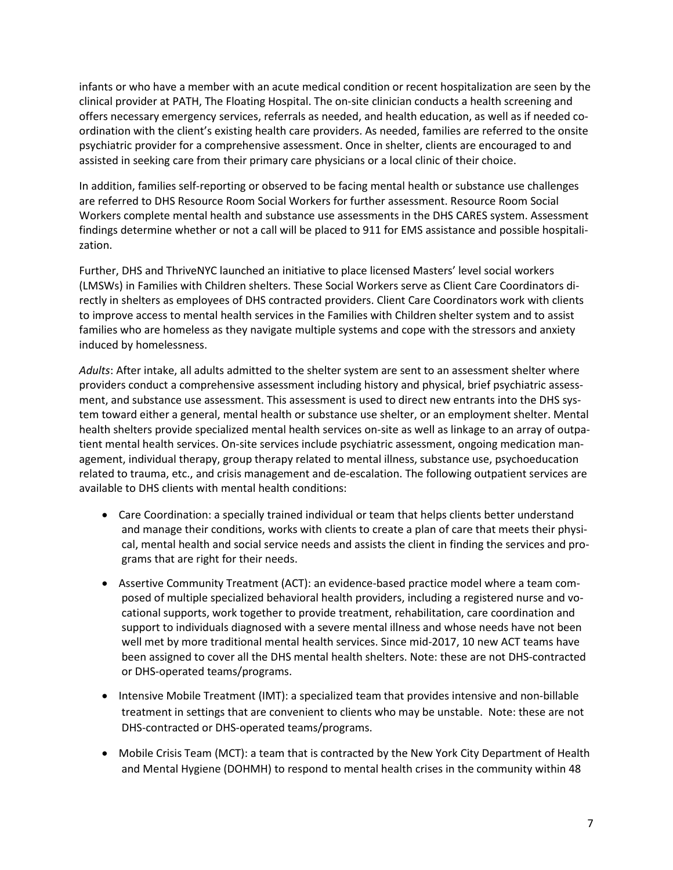infants or who have a member with an acute medical condition or recent hospitalization are seen by the clinical provider at PATH, The Floating Hospital. The on‐site clinician conducts a health screening and offers necessary emergency services, referrals as needed, and health education, as well as if needed coordination with the client's existing health care providers. As needed, families are referred to the onsite psychiatric provider for a comprehensive assessment. Once in shelter, clients are encouraged to and assisted in seeking care from their primary care physicians or a local clinic of their choice.

In addition, families self‐reporting or observed to be facing mental health or substance use challenges are referred to DHS Resource Room Social Workers for further assessment. Resource Room Social Workers complete mental health and substance use assessments in the DHS CARES system. Assessment findings determine whether or not a call will be placed to 911 for EMS assistance and possible hospitalization.

Further, DHS and ThriveNYC launched an initiative to place licensed Masters' level social workers (LMSWs) in Families with Children shelters. These Social Workers serve as Client Care Coordinators directly in shelters as employees of DHS contracted providers. Client Care Coordinators work with clients to improve access to mental health services in the Families with Children shelter system and to assist families who are homeless as they navigate multiple systems and cope with the stressors and anxiety induced by homelessness.

*Adults*: After intake, all adults admitted to the shelter system are sent to an assessment shelter where providers conduct a comprehensive assessment including history and physical, brief psychiatric assessment, and substance use assessment. This assessment is used to direct new entrants into the DHS system toward either a general, mental health or substance use shelter, or an employment shelter. Mental health shelters provide specialized mental health services on-site as well as linkage to an array of outpatient mental health services. On-site services include psychiatric assessment, ongoing medication management, individual therapy, group therapy related to mental illness, substance use, psychoeducation related to trauma, etc., and crisis management and de-escalation. The following outpatient services are available to DHS clients with mental health conditions:

- Care Coordination: a specially trained individual or team that helps clients better understand and manage their conditions, works with clients to create a plan of care that meets their physical, mental health and social service needs and assists the client in finding the services and programs that are right for their needs.
- Assertive Community Treatment (ACT): an evidence‐based practice model where a team composed of multiple specialized behavioral health providers, including a registered nurse and vocational supports, work together to provide treatment, rehabilitation, care coordination and support to individuals diagnosed with a severe mental illness and whose needs have not been well met by more traditional mental health services. Since mid-2017, 10 new ACT teams have been assigned to cover all the DHS mental health shelters. Note: these are not DHS-contracted or DHS-operated teams/programs.
- Intensive Mobile Treatment (IMT): a specialized team that provides intensive and non‐billable treatment in settings that are convenient to clients who may be unstable. Note: these are not DHS-contracted or DHS-operated teams/programs.
- Mobile Crisis Team (MCT): a team that is contracted by the New York City Department of Health and Mental Hygiene (DOHMH) to respond to mental health crises in the community within 48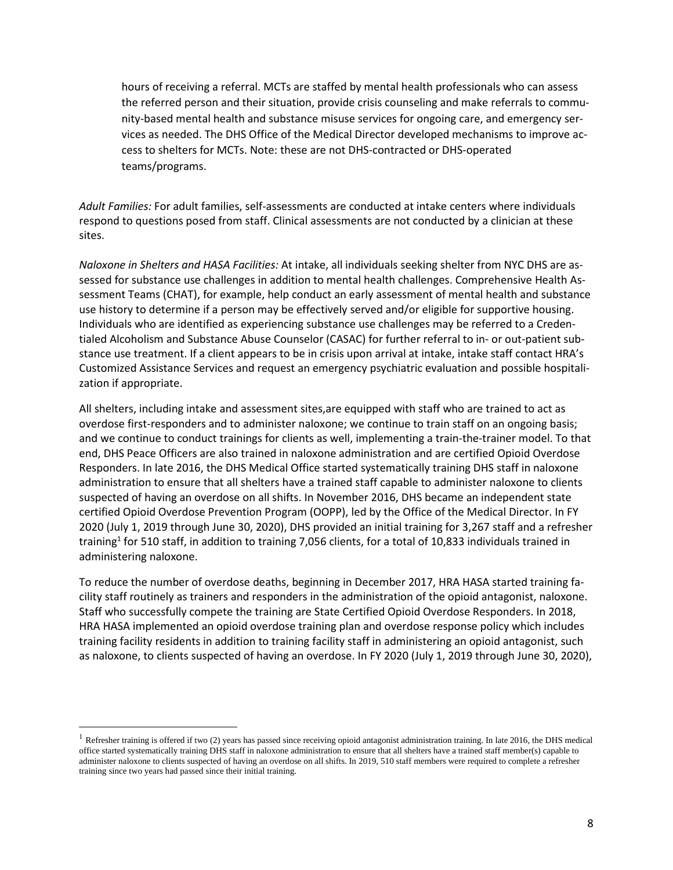hours of receiving a referral. MCTs are staffed by mental health professionals who can assess the referred person and their situation, provide crisis counseling and make referrals to community-based mental health and substance misuse services for ongoing care, and emergency services as needed. The DHS Office of the Medical Director developed mechanisms to improve access to shelters for MCTs. Note: these are not DHS-contracted or DHS-operated teams/programs.

*Adult Families:* For adult families, self-assessments are conducted at intake centers where individuals respond to questions posed from staff. Clinical assessments are not conducted by a clinician at these sites.

*Naloxone in Shelters and HASA Facilities:* At intake, all individuals seeking shelter from NYC DHS are assessed for substance use challenges in addition to mental health challenges. Comprehensive Health Assessment Teams (CHAT), for example, help conduct an early assessment of mental health and substance use history to determine if a person may be effectively served and/or eligible for supportive housing. Individuals who are identified as experiencing substance use challenges may be referred to a Credentialed Alcoholism and Substance Abuse Counselor (CASAC) for further referral to in- or out-patient substance use treatment. If a client appears to be in crisis upon arrival at intake, intake staff contact HRA's Customized Assistance Services and request an emergency psychiatric evaluation and possible hospitalization if appropriate.

All shelters, including intake and assessment sites,are equipped with staff who are trained to act as overdose first-responders and to administer naloxone; we continue to train staff on an ongoing basis; and we continue to conduct trainings for clients as well, implementing a train-the-trainer model. To that end, DHS Peace Officers are also trained in naloxone administration and are certified Opioid Overdose Responders. In late 2016, the DHS Medical Office started systematically training DHS staff in naloxone administration to ensure that all shelters have a trained staff capable to administer naloxone to clients suspected of having an overdose on all shifts. In November 2016, DHS became an independent state certified Opioid Overdose Prevention Program (OOPP), led by the Office of the Medical Director. In FY 2020 (July 1, 2019 through June 30, 2020), DHS provided an initial training for 3,267 staff and a refresher training<sup>1</sup> for 510 staff, in addition to training 7,056 clients, for a total of 10,833 individuals trained in administering naloxone.

To reduce the number of overdose deaths, beginning in December 2017, HRA HASA started training facility staff routinely as trainers and responders in the administration of the opioid antagonist, naloxone. Staff who successfully compete the training are State Certified Opioid Overdose Responders. In 2018, HRA HASA implemented an opioid overdose training plan and overdose response policy which includes training facility residents in addition to training facility staff in administering an opioid antagonist, such as naloxone, to clients suspected of having an overdose. In FY 2020 (July 1, 2019 through June 30, 2020),

<sup>&</sup>lt;sup>1</sup> Refresher training is offered if two (2) years has passed since receiving opioid antagonist administration training. In late 2016, the DHS medical office started systematically training DHS staff in naloxone administration to ensure that all shelters have a trained staff member(s) capable to administer naloxone to clients suspected of having an overdose on all shifts. In 2019, 510 staff members were required to complete a refresher training since two years had passed since their initial training.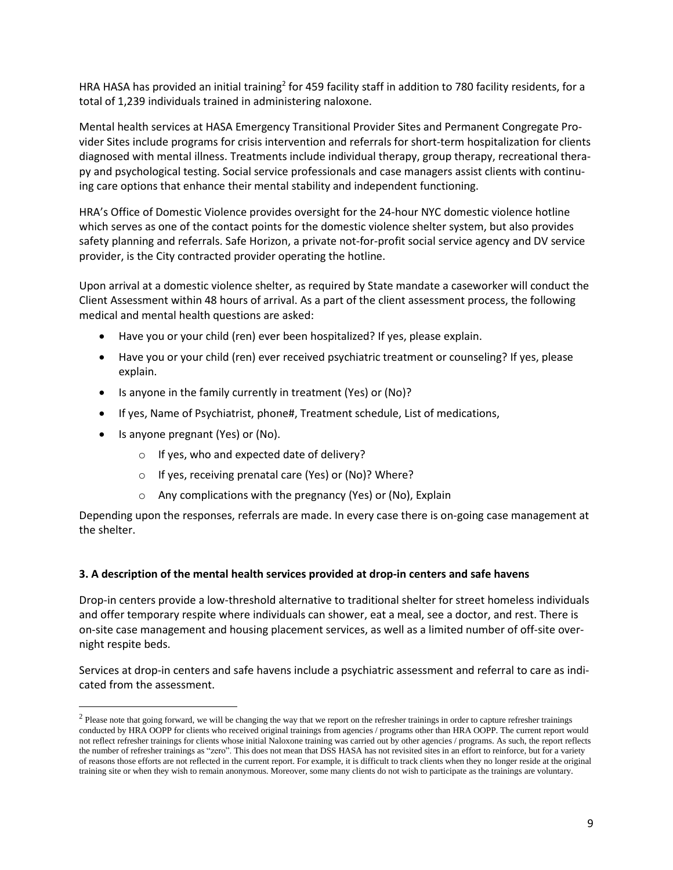HRA HASA has provided an initial training<sup>2</sup> for 459 facility staff in addition to 780 facility residents, for a total of 1,239 individuals trained in administering naloxone.

Mental health services at HASA Emergency Transitional Provider Sites and Permanent Congregate Provider Sites include programs for crisis intervention and referrals for short-term hospitalization for clients diagnosed with mental illness. Treatments include individual therapy, group therapy, recreational therapy and psychological testing. Social service professionals and case managers assist clients with continuing care options that enhance their mental stability and independent functioning.

HRA's Office of Domestic Violence provides oversight for the 24‐hour NYC domestic violence hotline which serves as one of the contact points for the domestic violence shelter system, but also provides safety planning and referrals. Safe Horizon, a private not-for-profit social service agency and DV service provider, is the City contracted provider operating the hotline.

Upon arrival at a domestic violence shelter, as required by State mandate a caseworker will conduct the Client Assessment within 48 hours of arrival. As a part of the client assessment process, the following medical and mental health questions are asked:

- Have you or your child (ren) ever been hospitalized? If yes, please explain.
- Have you or your child (ren) ever received psychiatric treatment or counseling? If yes, please explain.
- Is anyone in the family currently in treatment (Yes) or (No)?
- If yes, Name of Psychiatrist, phone#, Treatment schedule, List of medications,
- Is anyone pregnant (Yes) or (No).
	- o If yes, who and expected date of delivery?
	- o If yes, receiving prenatal care (Yes) or (No)? Where?
	- o Any complications with the pregnancy (Yes) or (No), Explain

Depending upon the responses, referrals are made. In every case there is on-going case management at the shelter.

#### **3. A description of the mental health services provided at drop-in centers and safe havens**

Drop-in centers provide a low-threshold alternative to traditional shelter for street homeless individuals and offer temporary respite where individuals can shower, eat a meal, see a doctor, and rest. There is on‐site case management and housing placement services, as well as a limited number of off‐site overnight respite beds.

Services at drop-in centers and safe havens include a psychiatric assessment and referral to care as indicated from the assessment.

 $2$  Please note that going forward, we will be changing the way that we report on the refresher trainings in order to capture refresher trainings conducted by HRA OOPP for clients who received original trainings from agencies / programs other than HRA OOPP. The current report would not reflect refresher trainings for clients whose initial Naloxone training was carried out by other agencies / programs. As such, the report reflects the number of refresher trainings as "zero". This does not mean that DSS HASA has not revisited sites in an effort to reinforce, but for a variety of reasons those efforts are not reflected in the current report. For example, it is difficult to track clients when they no longer reside at the original training site or when they wish to remain anonymous. Moreover, some many clients do not wish to participate as the trainings are voluntary.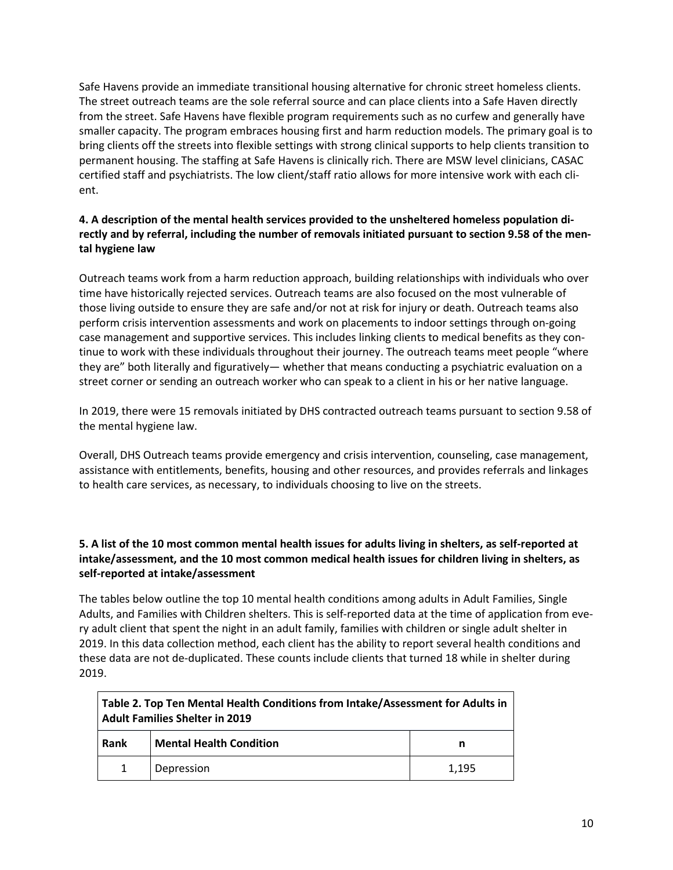Safe Havens provide an immediate transitional housing alternative for chronic street homeless clients. The street outreach teams are the sole referral source and can place clients into a Safe Haven directly from the street. Safe Havens have flexible program requirements such as no curfew and generally have smaller capacity. The program embraces housing first and harm reduction models. The primary goal is to bring clients off the streets into flexible settings with strong clinical supports to help clients transition to permanent housing. The staffing at Safe Havens is clinically rich. There are MSW level clinicians, CASAC certified staff and psychiatrists. The low client/staff ratio allows for more intensive work with each client.

# **4. A description of the mental health services provided to the unsheltered homeless population directly and by referral, including the number of removals initiated pursuant to section 9.58 of the mental hygiene law**

Outreach teams work from a harm reduction approach, building relationships with individuals who over time have historically rejected services. Outreach teams are also focused on the most vulnerable of those living outside to ensure they are safe and/or not at risk for injury or death. Outreach teams also perform crisis intervention assessments and work on placements to indoor settings through on-going case management and supportive services. This includes linking clients to medical benefits as they continue to work with these individuals throughout their journey. The outreach teams meet people "where they are" both literally and figuratively— whether that means conducting a psychiatric evaluation on a street corner or sending an outreach worker who can speak to a client in his or her native language.

In 2019, there were 15 removals initiated by DHS contracted outreach teams pursuant to section 9.58 of the mental hygiene law.

Overall, DHS Outreach teams provide emergency and crisis intervention, counseling, case management, assistance with entitlements, benefits, housing and other resources, and provides referrals and linkages to health care services, as necessary, to individuals choosing to live on the streets.

### 5. A list of the 10 most common mental health issues for adults living in shelters, as self-reported at **intake/assessment, and the 10 most common medical health issues for children living in shelters, as self-reported at intake/assessment**

The tables below outline the top 10 mental health conditions among adults in Adult Families, Single Adults, and Families with Children shelters. This is self-reported data at the time of application from every adult client that spent the night in an adult family, families with children or single adult shelter in 2019. In this data collection method, each client has the ability to report several health conditions and these data are not de-duplicated. These counts include clients that turned 18 while in shelter during 2019.

| Table 2. Top Ten Mental Health Conditions from Intake/Assessment for Adults in<br><b>Adult Families Shelter in 2019</b> |                                |       |
|-------------------------------------------------------------------------------------------------------------------------|--------------------------------|-------|
| Rank                                                                                                                    | <b>Mental Health Condition</b> |       |
| $\mathbf{1}$                                                                                                            | Depression                     | 1.195 |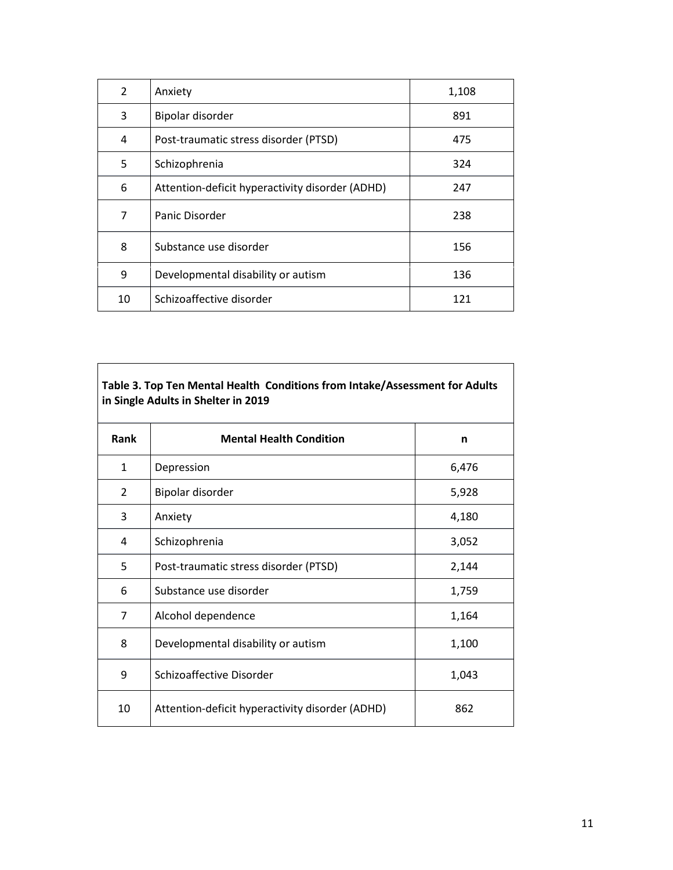| 2  | Anxiety                                         | 1,108 |
|----|-------------------------------------------------|-------|
| 3  | Bipolar disorder                                | 891   |
| 4  | Post-traumatic stress disorder (PTSD)           | 475   |
| 5  | Schizophrenia                                   | 324   |
| 6  | Attention-deficit hyperactivity disorder (ADHD) | 247   |
| 7  | Panic Disorder                                  | 238   |
| 8  | Substance use disorder                          | 156   |
| 9  | Developmental disability or autism              | 136   |
| 10 | Schizoaffective disorder                        | 121   |

# **Table 3. Top Ten Mental Health Conditions from Intake/Assessment for Adults in Single Adults in Shelter in 2019**

| Rank           | <b>Mental Health Condition</b>                  | n     |
|----------------|-------------------------------------------------|-------|
| $\mathbf{1}$   | Depression                                      | 6,476 |
| $\overline{2}$ | Bipolar disorder                                | 5,928 |
| 3              | Anxiety                                         | 4,180 |
| 4              | Schizophrenia                                   | 3,052 |
| 5              | Post-traumatic stress disorder (PTSD)           | 2,144 |
| 6              | Substance use disorder                          | 1,759 |
| $\overline{7}$ | Alcohol dependence                              | 1,164 |
| 8              | Developmental disability or autism              | 1,100 |
| 9              | Schizoaffective Disorder                        | 1,043 |
| 10             | Attention-deficit hyperactivity disorder (ADHD) | 862   |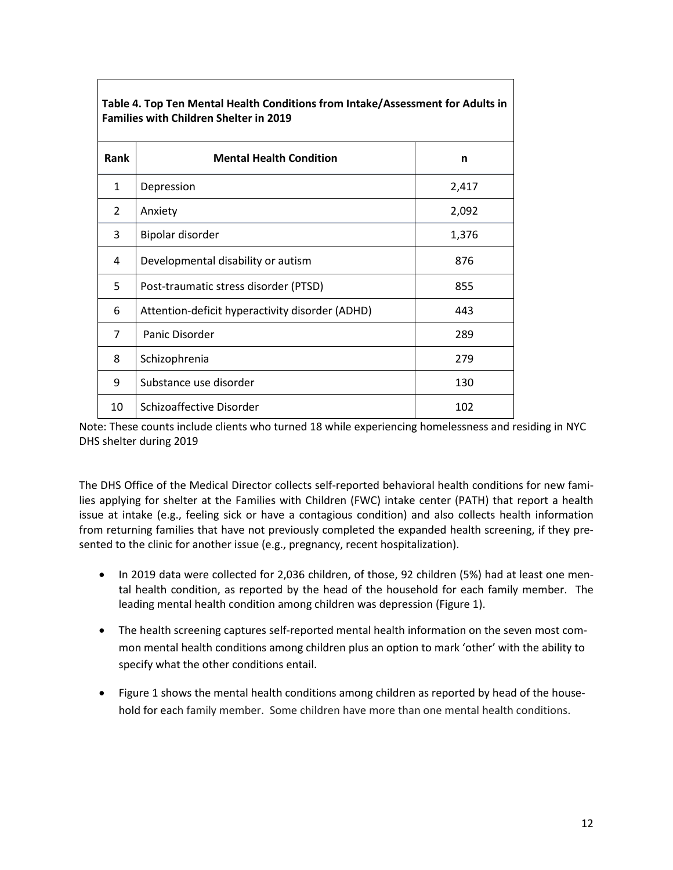| <b>Families with Children Shelter in 2019</b> |                                                 |       |
|-----------------------------------------------|-------------------------------------------------|-------|
| Rank                                          | <b>Mental Health Condition</b>                  | n     |
| 1                                             | Depression                                      | 2,417 |
| 2                                             | Anxiety                                         | 2,092 |
| 3                                             | Bipolar disorder                                | 1,376 |
| 4                                             | Developmental disability or autism              | 876   |
| 5                                             | Post-traumatic stress disorder (PTSD)           | 855   |
| 6                                             | Attention-deficit hyperactivity disorder (ADHD) | 443   |
| 7                                             | Panic Disorder                                  | 289   |
| 8                                             | Schizophrenia                                   | 279   |
| 9                                             | Substance use disorder                          | 130   |
| 10                                            | Schizoaffective Disorder                        | 102   |

**Table 4. Top Ten Mental Health Conditions from Intake/Assessment for Adults in Families with Children Shelter in 2019**

Note: These counts include clients who turned 18 while experiencing homelessness and residing in NYC DHS shelter during 2019

The DHS Office of the Medical Director collects self-reported behavioral health conditions for new families applying for shelter at the Families with Children (FWC) intake center (PATH) that report a health issue at intake (e.g., feeling sick or have a contagious condition) and also collects health information from returning families that have not previously completed the expanded health screening, if they presented to the clinic for another issue (e.g., pregnancy, recent hospitalization).

- In 2019 data were collected for 2,036 children, of those, 92 children (5%) had at least one mental health condition, as reported by the head of the household for each family member. The leading mental health condition among children was depression (Figure 1).
- The health screening captures self-reported mental health information on the seven most common mental health conditions among children plus an option to mark 'other' with the ability to specify what the other conditions entail.
- Figure 1 shows the mental health conditions among children as reported by head of the household for each family member. Some children have more than one mental health conditions.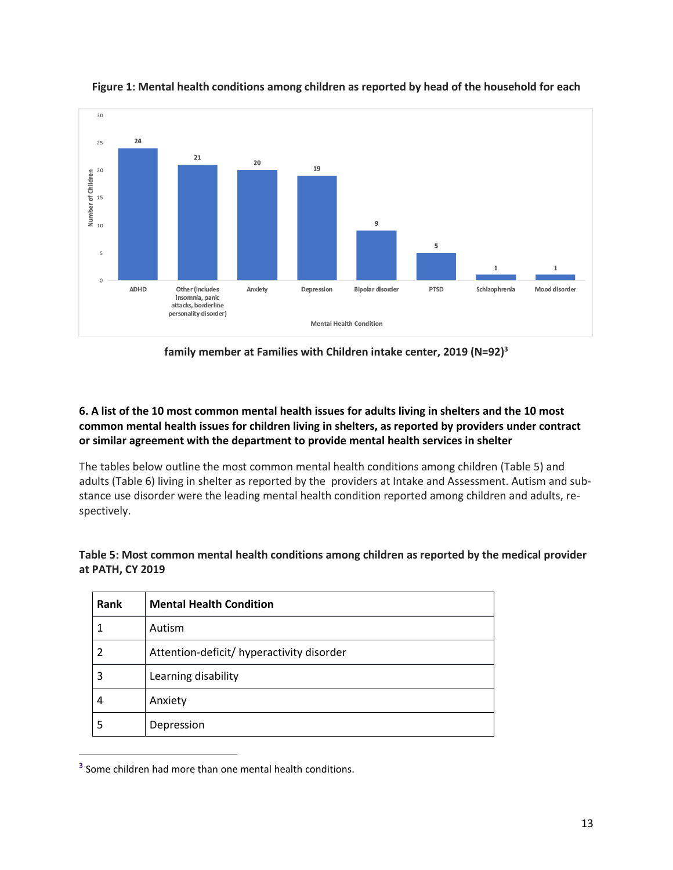

**Figure 1: Mental health conditions among children as reported by head of the household for each**

**family member at Families with Children intake center, 2019 (N=92)<sup>3</sup>**

# 6. A list of the 10 most common mental health issues for adults living in shelters and the 10 most **common mental health issues for children living in shelters, as reported by providers under contract or similar agreement with the department to provide mental health services in shelter**

The tables below outline the most common mental health conditions among children (Table 5) and adults (Table 6) living in shelter as reported by the providers at Intake and Assessment. Autism and substance use disorder were the leading mental health condition reported among children and adults, respectively.

| Table 5: Most common mental health conditions among children as reported by the medical provider |
|--------------------------------------------------------------------------------------------------|
| at PATH, CY 2019                                                                                 |
|                                                                                                  |

| Rank | <b>Mental Health Condition</b>            |
|------|-------------------------------------------|
|      | Autism                                    |
|      | Attention-deficit/ hyperactivity disorder |
| 3    | Learning disability                       |
| 4    | Anxiety                                   |
| 5    | Depression                                |

**<sup>3</sup>** Some children had more than one mental health conditions.